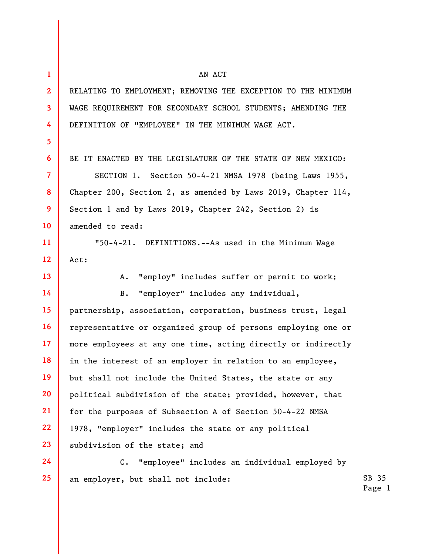| $\mathbf{1}$            | AN ACT                                                           |                 |
|-------------------------|------------------------------------------------------------------|-----------------|
| $\overline{2}$          | RELATING TO EMPLOYMENT; REMOVING THE EXCEPTION TO THE MINIMUM    |                 |
| $\overline{\mathbf{3}}$ | WAGE REQUIREMENT FOR SECONDARY SCHOOL STUDENTS; AMENDING THE     |                 |
| 4                       | DEFINITION OF "EMPLOYEE" IN THE MINIMUM WAGE ACT.                |                 |
| 5 <sup>5</sup>          |                                                                  |                 |
| 6                       | BE IT ENACTED BY THE LEGISLATURE OF THE STATE OF NEW MEXICO:     |                 |
| $\overline{7}$          | SECTION 1. Section 50-4-21 NMSA 1978 (being Laws 1955,           |                 |
| 8                       | Chapter 200, Section 2, as amended by Laws 2019, Chapter $114$ , |                 |
| 9                       | Section 1 and by Laws 2019, Chapter 242, Section 2) is           |                 |
| 10                      | amended to read:                                                 |                 |
| 11                      | "50-4-21. DEFINITIONS.--As used in the Minimum Wage              |                 |
| 12                      | Act:                                                             |                 |
| 13                      | "employ" includes suffer or permit to work;<br>A.                |                 |
| 14                      | "employer" includes any individual,<br>$B$ .                     |                 |
| 15                      | partnership, association, corporation, business trust, legal     |                 |
| 16                      | representative or organized group of persons employing one or    |                 |
| 17 <sup>2</sup>         | more employees at any one time, acting directly or indirectly    |                 |
| 18                      | in the interest of an employer in relation to an employee,       |                 |
| 19                      | but shall not include the United States, the state or any        |                 |
| 20                      | political subdivision of the state; provided, however, that      |                 |
| 21                      | for the purposes of Subsection A of Section 50-4-22 NMSA         |                 |
| 22                      | 1978, "employer" includes the state or any political             |                 |
| 23                      | subdivision of the state; and                                    |                 |
| 24                      | "employee" includes an individual employed by<br>$C$ .           |                 |
| 25                      | an employer, but shall not include:                              | SB 35<br>Page 1 |
|                         |                                                                  |                 |
|                         |                                                                  |                 |

Page 1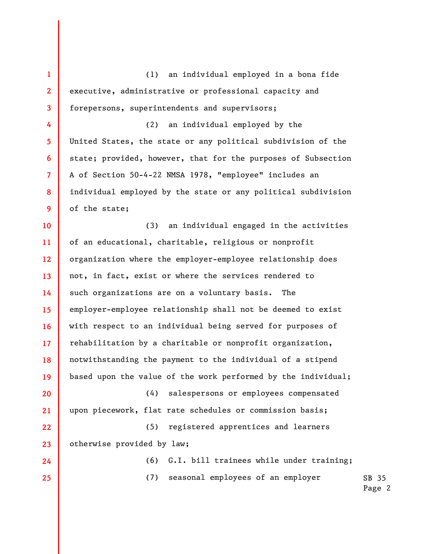1 2 3 4 5 6 7 8 9 10 11 12 13 14 15 16 17 18 19 20 21 22 23 24 25 (1) an individual employed in a bona fide executive, administrative or professional capacity and forepersons, superintendents and supervisors; (2) an individual employed by the United States, the state or any political subdivision of the state; provided, however, that for the purposes of Subsection A of Section 50-4-22 NMSA 1978, "employee" includes an individual employed by the state or any political subdivision of the state; (3) an individual engaged in the activities of an educational, charitable, religious or nonprofit organization where the employer-employee relationship does not, in fact, exist or where the services rendered to such organizations are on a voluntary basis. The employer-employee relationship shall not be deemed to exist with respect to an individual being served for purposes of rehabilitation by a charitable or nonprofit organization, notwithstanding the payment to the individual of a stipend based upon the value of the work performed by the individual; (4) salespersons or employees compensated upon piecework, flat rate schedules or commission basis; (5) registered apprentices and learners otherwise provided by law; (6) G.I. bill trainees while under training; (7) seasonal employees of an employer

SB 35 Page 2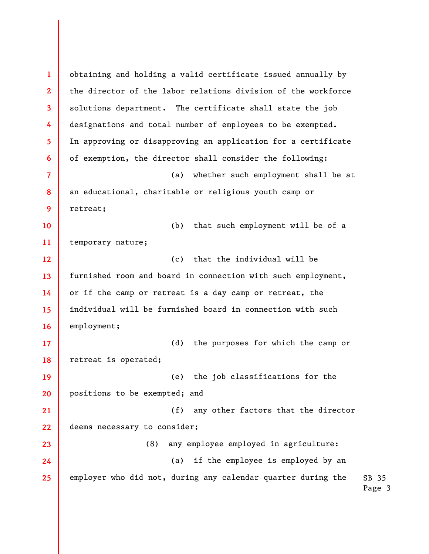SB 35 Page 3 1 2 3 4 5 6 7 8 9 10 11 12 13 14 15 16 17 18 19 20 21 22 23 24 25 obtaining and holding a valid certificate issued annually by the director of the labor relations division of the workforce solutions department. The certificate shall state the job designations and total number of employees to be exempted. In approving or disapproving an application for a certificate of exemption, the director shall consider the following: (a) whether such employment shall be at an educational, charitable or religious youth camp or retreat; (b) that such employment will be of a temporary nature; (c) that the individual will be furnished room and board in connection with such employment, or if the camp or retreat is a day camp or retreat, the individual will be furnished board in connection with such employment; (d) the purposes for which the camp or retreat is operated; (e) the job classifications for the positions to be exempted; and (f) any other factors that the director deems necessary to consider; (8) any employee employed in agriculture: (a) if the employee is employed by an employer who did not, during any calendar quarter during the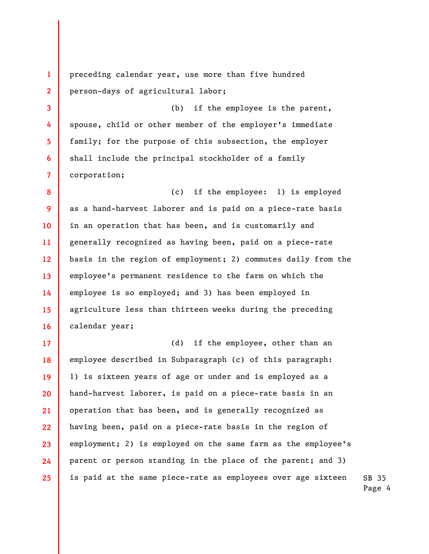preceding calendar year, use more than five hundred person-days of agricultural labor;

1

2

3

4

5

6

7

(b) if the employee is the parent, spouse, child or other member of the employer's immediate family; for the purpose of this subsection, the employer shall include the principal stockholder of a family corporation;

8 9 10 11 12 13 14 15 16 (c) if the employee: 1) is employed as a hand-harvest laborer and is paid on a piece-rate basis in an operation that has been, and is customarily and generally recognized as having been, paid on a piece-rate basis in the region of employment; 2) commutes daily from the employee's permanent residence to the farm on which the employee is so employed; and 3) has been employed in agriculture less than thirteen weeks during the preceding calendar year;

SB 35 17 18 19 20 21 22 23 24 25 (d) if the employee, other than an employee described in Subparagraph (c) of this paragraph: 1) is sixteen years of age or under and is employed as a hand-harvest laborer, is paid on a piece-rate basis in an operation that has been, and is generally recognized as having been, paid on a piece-rate basis in the region of employment; 2) is employed on the same farm as the employee's parent or person standing in the place of the parent; and 3) is paid at the same piece-rate as employees over age sixteen

Page 4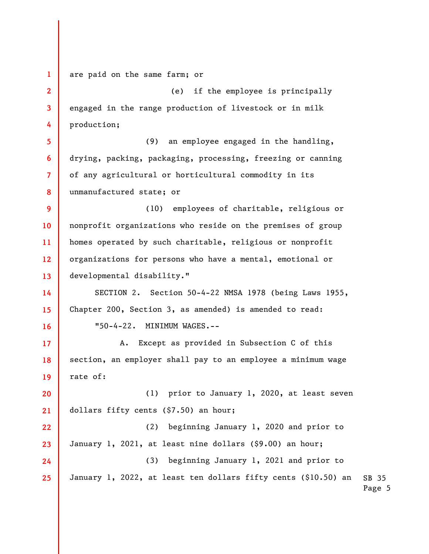1 are paid on the same farm; or

2 3 4 (e) if the employee is principally engaged in the range production of livestock or in milk production;

5 6 7 8 (9) an employee engaged in the handling, drying, packing, packaging, processing, freezing or canning of any agricultural or horticultural commodity in its unmanufactured state; or

9 10 11 12 13 (10) employees of charitable, religious or nonprofit organizations who reside on the premises of group homes operated by such charitable, religious or nonprofit organizations for persons who have a mental, emotional or developmental disability."

14 15 16 SECTION 2. Section 50-4-22 NMSA 1978 (being Laws 1955, Chapter 200, Section 3, as amended) is amended to read: "50-4-22. MINIMUM WAGES.--

17 18 19 A. Except as provided in Subsection C of this section, an employer shall pay to an employee a minimum wage rate of:

20 21 (1) prior to January 1, 2020, at least seven dollars fifty cents (\$7.50) an hour;

SB 35 Page 5 22 23 24 25 (2) beginning January 1, 2020 and prior to January 1, 2021, at least nine dollars (\$9.00) an hour; (3) beginning January 1, 2021 and prior to January 1, 2022, at least ten dollars fifty cents (\$10.50) an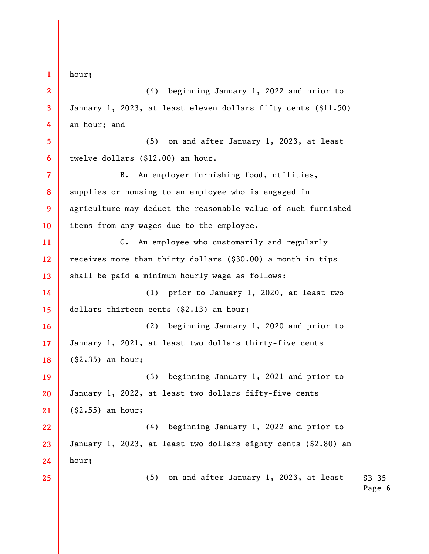1 2 3 4 5 6 7 8 9 10 11 12 13 14 15 16 17 18 19 20 21 22 23 24 25 hour; (4) beginning January 1, 2022 and prior to January 1, 2023, at least eleven dollars fifty cents (\$11.50) an hour; and (5) on and after January 1, 2023, at least twelve dollars (\$12.00) an hour. B. An employer furnishing food, utilities, supplies or housing to an employee who is engaged in agriculture may deduct the reasonable value of such furnished items from any wages due to the employee. C. An employee who customarily and regularly receives more than thirty dollars (\$30.00) a month in tips shall be paid a minimum hourly wage as follows: (1) prior to January 1, 2020, at least two dollars thirteen cents (\$2.13) an hour; (2) beginning January 1, 2020 and prior to January 1, 2021, at least two dollars thirty-five cents (\$2.35) an hour; (3) beginning January 1, 2021 and prior to January 1, 2022, at least two dollars fifty-five cents (\$2.55) an hour; (4) beginning January 1, 2022 and prior to January 1, 2023, at least two dollars eighty cents (\$2.80) an hour; (5) on and after January 1, 2023, at least

SB 35 Page 6